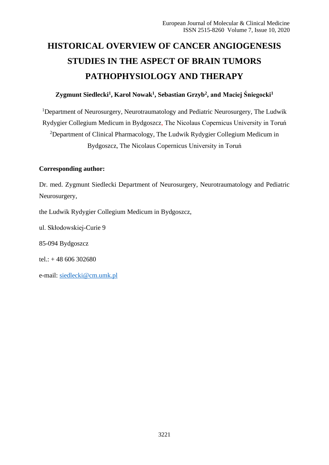# **HISTORICAL OVERVIEW OF CANCER ANGIOGENESIS STUDIES IN THE ASPECT OF BRAIN TUMORS PATHOPHYSIOLOGY AND THERAPY**

# **Zygmunt Siedlecki<sup>1</sup> , Karol Nowak<sup>1</sup> , Sebastian Grzyb<sup>2</sup> , and Maciej Śniegocki<sup>1</sup>**

<sup>1</sup>Department of Neurosurgery, Neurotraumatology and Pediatric Neurosurgery, The Ludwik Rydygier Collegium Medicum in Bydgoszcz, The Nicolaus Copernicus University in Toruń <sup>2</sup>Department of Clinical Pharmacology, The Ludwik Rydygier Collegium Medicum in Bydgoszcz, The Nicolaus Copernicus University in Toruń

### **Corresponding author:**

Dr. med. Zygmunt Siedlecki Department of Neurosurgery, Neurotraumatology and Pediatric Neurosurgery,

the Ludwik Rydygier Collegium Medicum in Bydgoszcz,

ul. Skłodowskiej-Curie 9

85-094 Bydgoszcz

tel.: + 48 606 302680

e-mail: siedlecki@cm.umk.pl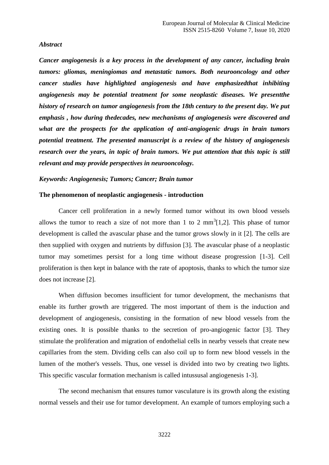#### *Abstract*

*Cancer angiogenesis is a key process in the development of any cancer, including brain tumors: gliomas, meningiomas and metastatic tumors. Both neurooncology and other cancer studies have highlighted angiogenesis and have emphasizedthat inhibiting angiogenesis may be potential treatment for some neoplastic diseases. We presentthe history of research on tumor angiogenesis from the 18th century to the present day. We put emphasis , how during thedecades, new mechanisms of angiogenesis were discovered and what are the prospects for the application of anti-angiogenic drugs in brain tumors potential treatment. The presented manuscript is a review of the history of angiogenesis research over the years, in topic of brain tumors. We put attention that this topic is still relevant and may provide perspectives in neurooncology.*

# *Keywords: Angiogenesis; Tumors; Cancer; Brain tumor*

#### **The phenomenon of neoplastic angiogenesis - introduction**

Cancer cell proliferation in a newly formed tumor without its own blood vessels allows the tumor to reach a size of not more than 1 to 2  $mm<sup>3</sup>[1,2]$ . This phase of tumor development is called the avascular phase and the tumor grows slowly in it [2]. The cells are then supplied with oxygen and nutrients by diffusion [3]. The avascular phase of a neoplastic tumor may sometimes persist for a long time without disease progression [1-3]. Cell proliferation is then kept in balance with the rate of apoptosis, thanks to which the tumor size does not increase [2].

When diffusion becomes insufficient for tumor development, the mechanisms that enable its further growth are triggered. The most important of them is the induction and development of angiogenesis, consisting in the formation of new blood vessels from the existing ones. It is possible thanks to the secretion of pro-angiogenic factor [3]. They stimulate the proliferation and migration of endothelial cells in nearby vessels that create new capillaries from the stem. Dividing cells can also coil up to form new blood vessels in the lumen of the mother's vessels. Thus, one vessel is divided into two by creating two lights. This specific vascular formation mechanism is called intussusal angiogenesis 1-3].

The second mechanism that ensures tumor vasculature is its growth along the existing normal vessels and their use for tumor development. An example of tumors employing such a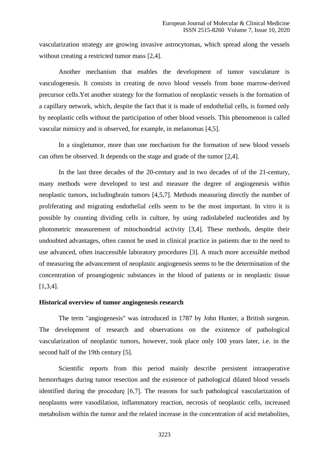vascularization strategy are growing invasive astrocytomas, which spread along the vessels without creating a restricted tumor mass [2,4].

Another mechanism that enables the development of tumor vasculature is vasculogenesis. It consists in creating de novo blood vessels from bone marrow-derived precursor cells.Yet another strategy for the formation of neoplastic vessels is the formation of a capillary network, which, despite the fact that it is made of endothelial cells, is formed only by neoplastic cells without the participation of other blood vessels. This phenomenon is called vascular mimicry and is observed, for example, in melanomas [4,5].

In a singletumor, more than one mechanism for the formation of new blood vessels can often be observed. It depends on the stage and grade of the tumor [2,4].

In the last three decades of the 20-century and in two decades of of the 21-century, many methods were developed to test and measure the degree of angiogenesis within neoplastic tumors, includingbrain tumors [4,5,7]. Methods measuring directly the number of proliferating and migrating endothelial cells seem to be the most important. In vitro it is possible by counting dividing cells in culture, by using radiolabeled nucleotides and by photometric measurement of mitochondrial activity [3,4]. These methods, despite their undoubted advantages, often cannot be used in clinical practice in patients due to the need to use advanced, often inaccessible laboratory procedures [3]. A much more accessible method of measuring the advancement of neoplastic angiogenesis seems to be the determination of the concentration of proangiogenic substances in the blood of patients or in neoplastic tissue [1,3,4].

#### **Historical overview of tumor angiogenesis research**

The term "angiogenesis" was introduced in 1787 by John Hunter, a British surgeon. The development of research and observations on the existence of pathological vascularization of neoplastic tumors, however, took place only 100 years later, i.e. in the second half of the 19th century [5].

Scientific reports from this period mainly describe persistent intraoperative hemorrhages during tumor resection and the existence of pathological dilated blood vessels identified during the procedurę [6,7]. The reasons for such pathological vascularization of neoplasms were vasodilation, inflammatory reaction, necrosis of neoplastic cells, increased metabolism within the tumor and the related increase in the concentration of acid metabolites,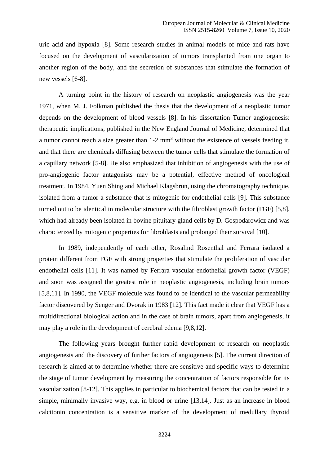uric acid and hypoxia [8]. Some research studies in animal models of mice and rats have focused on the development of vascularization of tumors transplanted from one organ to another region of the body, and the secretion of substances that stimulate the formation of new vessels [6-8].

A turning point in the history of research on neoplastic angiogenesis was the year 1971, when M. J. Folkman published the thesis that the development of a neoplastic tumor depends on the development of blood vessels [8]. In his dissertation Tumor angiogenesis: therapeutic implications, published in the New England Journal of Medicine, determined that a tumor cannot reach a size greater than 1-2 mm<sup>3</sup> without the existence of vessels feeding it, and that there are chemicals diffusing between the tumor cells that stimulate the formation of a capillary network [5-8]. He also emphasized that inhibition of angiogenesis with the use of pro-angiogenic factor antagonists may be a potential, effective method of oncological treatment. In 1984, Yuen Shing and Michael Klagsbrun, using the chromatography technique, isolated from a tumor a substance that is mitogenic for endothelial cells [9]. This substance turned out to be identical in molecular structure with the fibroblast growth factor (FGF) [5,8], which had already been isolated in bovine pituitary gland cells by D. Gospodarowicz and was characterized by mitogenic properties for fibroblasts and prolonged their survival [10].

In 1989, independently of each other, Rosalind Rosenthal and Ferrara isolated a protein different from FGF with strong properties that stimulate the proliferation of vascular endothelial cells [11]. It was named by Ferrara vascular-endothelial growth factor (VEGF) and soon was assigned the greatest role in neoplastic angiogenesis, including brain tumors [5,8,11]. In 1990, the VEGF molecule was found to be identical to the vascular permeability factor discovered by Senger and Dvorak in 1983 [12]. This fact made it clear that VEGF has a multidirectional biological action and in the case of brain tumors, apart from angiogenesis, it may play a role in the development of cerebral edema [9,8,12].

The following years brought further rapid development of research on neoplastic angiogenesis and the discovery of further factors of angiogenesis [5]. The current direction of research is aimed at to determine whether there are sensitive and specific ways to determine the stage of tumor development by measuring the concentration of factors responsible for its vascularization [8-12]. This applies in particular to biochemical factors that can be tested in a simple, minimally invasive way, e.g. in blood or urine [13,14]. Just as an increase in blood calcitonin concentration is a sensitive marker of the development of medullary thyroid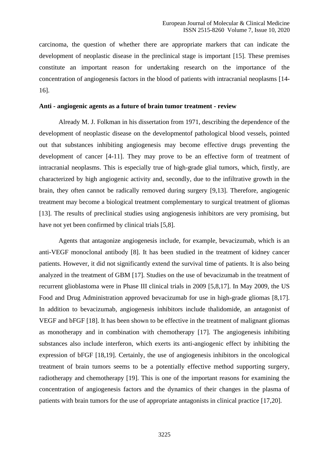carcinoma, the question of whether there are appropriate markers that can indicate the development of neoplastic disease in the preclinical stage is important [15]. These premises constitute an important reason for undertaking research on the importance of the concentration of angiogenesis factors in the blood of patients with intracranial neoplasms [14- 16].

# **Anti - angiogenic agents as a future of brain tumor treatment - review**

Already M. J. Folkman in his dissertation from 1971, describing the dependence of the development of neoplastic disease on the developmentof pathological blood vessels, pointed out that substances inhibiting angiogenesis may become effective drugs preventing the development of cancer [4-11]. They may prove to be an effective form of treatment of intracranial neoplasms. This is especially true of high-grade glial tumors, which, firstly, are characterized by high angiogenic activity and, secondly, due to the infiltrative growth in the brain, they often cannot be radically removed during surgery [9,13]. Therefore, angiogenic treatment may become a biological treatment complementary to surgical treatment of gliomas [13]. The results of preclinical studies using angiogenesis inhibitors are very promising, but have not yet been confirmed by clinical trials [5,8].

Agents that antagonize angiogenesis include, for example, bevacizumab, which is an anti-VEGF monoclonal antibody [8]. It has been studied in the treatment of kidney cancer patients. However, it did not significantly extend the survival time of patients. It is also being analyzed in the treatment of GBM [17]. Studies on the use of bevacizumab in the treatment of recurrent glioblastoma were in Phase III clinical trials in 2009 [5,8,17]. In May 2009, the US Food and Drug Administration approved bevacizumab for use in high-grade gliomas [8,17]. In addition to bevacizumab, angiogenesis inhibitors include thalidomide, an antagonist of VEGF and bFGF [18]. It has been shown to be effective in the treatment of malignant gliomas as monotherapy and in combination with chemotherapy [17]. The angiogenesis inhibiting substances also include interferon, which exerts its anti-angiogenic effect by inhibiting the expression of bFGF [18,19]. Certainly, the use of angiogenesis inhibitors in the oncological treatment of brain tumors seems to be a potentially effective method supporting surgery, radiotherapy and chemotherapy [19]. This is one of the important reasons for examining the concentration of angiogenesis factors and the dynamics of their changes in the plasma of patients with brain tumors for the use of appropriate antagonists in clinical practice [17,20].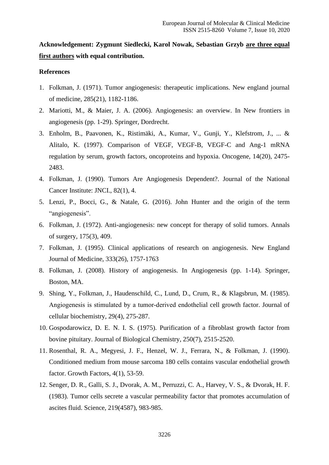# **Acknowledgement: Zygmunt Siedlecki, Karol Nowak, Sebastian Grzyb are three equal first authors with equal contribution.**

# **References**

- 1. Folkman, J. (1971). Tumor angiogenesis: therapeutic implications. New england journal of medicine, 285(21), 1182-1186.
- 2. Mariotti, M., & Maier, J. A. (2006). Angiogenesis: an overview. In New frontiers in angiogenesis (pp. 1-29). Springer, Dordrecht.
- 3. Enholm, B., Paavonen, K., Ristimäki, A., Kumar, V., Gunji, Y., Klefstrom, J., ... & Alitalo, K. (1997). Comparison of VEGF, VEGF-B, VEGF-C and Ang-1 mRNA regulation by serum, growth factors, oncoproteins and hypoxia. Oncogene, 14(20), 2475- 2483.
- 4. Folkman, J. (1990). Tumors Are Angiogenesis Dependent?. Journal of the National Cancer Institute: JNCI., 82(1), 4.
- 5. Lenzi, P., Bocci, G., & Natale, G. (2016). John Hunter and the origin of the term "angiogenesis".
- 6. Folkman, J. (1972). Anti-angiogenesis: new concept for therapy of solid tumors. Annals of surgery, 175(3), 409.
- 7. Folkman, J. (1995). Clinical applications of research on angiogenesis. New England Journal of Medicine, 333(26), 1757-1763
- 8. Folkman, J. (2008). History of angiogenesis. In Angiogenesis (pp. 1-14). Springer, Boston, MA.
- 9. Shing, Y., Folkman, J., Haudenschild, C., Lund, D., Crum, R., & Klagsbrun, M. (1985). Angiogenesis is stimulated by a tumor‐derived endothelial cell growth factor. Journal of cellular biochemistry, 29(4), 275-287.
- 10. Gospodarowicz, D. E. N. I. S. (1975). Purification of a fibroblast growth factor from bovine pituitary. Journal of Biological Chemistry, 250(7), 2515-2520.
- 11. Rosenthal, R. A., Megyesi, J. F., Henzel, W. J., Ferrara, N., & Folkman, J. (1990). Conditioned medium from mouse sarcoma 180 cells contains vascular endothelial growth factor. Growth Factors, 4(1), 53-59.
- 12. Senger, D. R., Galli, S. J., Dvorak, A. M., Perruzzi, C. A., Harvey, V. S., & Dvorak, H. F. (1983). Tumor cells secrete a vascular permeability factor that promotes accumulation of ascites fluid. Science, 219(4587), 983-985.